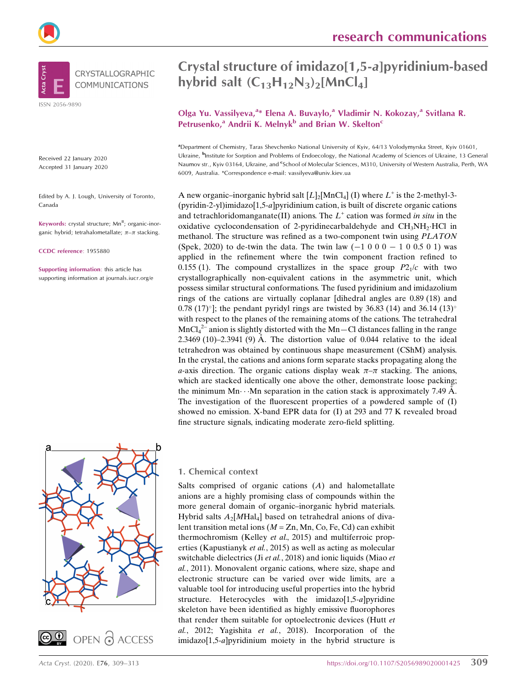



ISSN 2056-9890

Received 22 January 2020 Accepted 31 January 2020

Edited by A. J. Lough, University of Toronto, Canada

Keywords: crystal structure; Mn<sup>II</sup>; organic-inorganic hybrid; tetrahalometallate;  $\pi-\pi$  stacking.

CCDC reference: 1955880

Supporting information: this article has supporting information at journals.iucr.org/e

# Crystal structure of imidazo[1,5-a]pyridinium-based hybrid salt  $(C_{13}H_{12}N_3)$ <sub>2</sub>[MnCl<sub>4</sub>]

# Olga Yu. Vassilyeva,<sup>a\*</sup> Elena A. Buvaylo,<sup>a</sup> Vladimir N. Kokozay,<sup>a</sup> Svitlana R. Petrusenko, $a$  Andrii K. Melnyk $b$  and Brian W. Skelton<sup>c</sup>

a Department of Chemistry, Taras Shevchenko National University of Kyiv, 64/13 Volodymyrska Street, Kyiv 01601, Ukraine, <sup>b</sup>Institute for Sorption and Problems of Endoecology, the National Academy of Sciences of Ukraine, 13 General Naumov str., Kyiv 03164, Ukraine, and <sup>e</sup>School of Molecular Sciences, M310, University of Western Australia, Perth, WA 6009, Australia. \*Correspondence e-mail: vassilyeva@univ.kiev.ua

A new organic–inorganic hybrid salt  $[L]_2[{\rm MnCl}_4]$  (I) where  $L^+$  is the 2-methyl-3- $(pyridin-2-yl)$ imidazo $[1,5-a]$ pyridinium cation, is built of discrete organic cations and tetrachloridomanganate(II) anions. The  $L^+$  cation was formed in situ in the oxidative cyclocondensation of 2-pyridinecarbaldehyde and CH<sub>3</sub>NH<sub>2</sub>·HCl in methanol. The structure was refined as a two-component twin using PLATON (Spek, 2020) to de-twin the data. The twin law  $(-1\ 0\ 0\ 0\ -\ 1\ 0\ 0.5\ 0\ 1)$  was applied in the refinement where the twin component fraction refined to 0.155 (1). The compound crystallizes in the space group  $P2<sub>1</sub>/c$  with two crystallographically non-equivalent cations in the asymmetric unit, which possess similar structural conformations. The fused pyridinium and imidazolium rings of the cations are virtually coplanar [dihedral angles are 0.89 (18) and 0.78 (17)<sup> $\circ$ </sup>]; the pendant pyridyl rings are twisted by 36.83 (14) and 36.14 (13)<sup> $\circ$ </sup> with respect to the planes of the remaining atoms of the cations. The tetrahedral  $MnCl<sub>4</sub><sup>2-</sup> anion is slightly distorted with the Mn–Cl distances falling in the range$ 2.3469 (10)–2.3941 (9) Å. The distortion value of 0.044 relative to the ideal tetrahedron was obtained by continuous shape measurement (CShM) analysis. In the crystal, the cations and anions form separate stacks propagating along the a-axis direction. The organic cations display weak  $\pi-\pi$  stacking. The anions, which are stacked identically one above the other, demonstrate loose packing; the minimum Mn $\cdots$  Mn separation in the cation stack is approximately 7.49 Å. The investigation of the fluorescent properties of a powdered sample of (I) showed no emission. X-band EPR data for (I) at 293 and 77 K revealed broad fine structure signals, indicating moderate zero-field splitting.





#### 1. Chemical context

Salts comprised of organic cations  $(A)$  and halometallate anions are a highly promising class of compounds within the more general domain of organic–inorganic hybrid materials. Hybrid salts  $A_2[M\text{Hal}_4]$  based on tetrahedral anions of divalent transition metal ions ( $M = Zn$ , Mn, Co, Fe, Cd) can exhibit thermochromism (Kelley et al., 2015) and multiferroic properties (Kapustianyk et al., 2015) as well as acting as molecular switchable dielectrics (Ji et al., 2018) and ionic liquids (Miao et al., 2011). Monovalent organic cations, where size, shape and electronic structure can be varied over wide limits, are a valuable tool for introducing useful properties into the hybrid structure. Heterocycles with the imidazo[1,5-a]pyridine skeleton have been identified as highly emissive fluorophores that render them suitable for optoelectronic devices (Hutt et al., 2012; Yagishita et al., 2018). Incorporation of the imidazo[1,5-a]pyridinium moiety in the hybrid structure is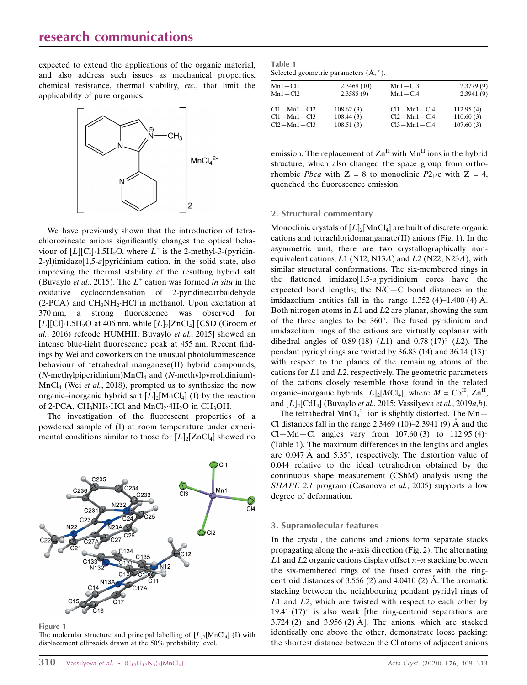expected to extend the applications of the organic material, and also address such issues as mechanical properties, chemical resistance, thermal stability, etc., that limit the applicability of pure organics.



We have previously shown that the introduction of tetrachlorozincate anions significantly changes the optical behaviour of  $[L][C] \cdot 1.5H_2O$ , where  $L^+$  is the 2-methyl-3-(pyridin-2-yl)imidazo[1,5-a]pyridinium cation, in the solid state, also improving the thermal stability of the resulting hybrid salt (Buvaylo et al., 2015). The  $L^+$  cation was formed in situ in the oxidative cyclocondensation of 2-pyridinecarbaldehyde  $(2\text{-PCA})$  and  $\text{CH}_3\text{NH}_2\text{-HC}$  in methanol. Upon excitation at 370 nm, a strong fluorescence was observed for [ $L$ ][Cl] $\cdot$ 1.5H<sub>2</sub>O at 406 nm, while  $[L]_2$ [ZnCl<sub>4</sub>] [CSD (Groom *et* al., 2016) refcode HUMHII; Buvaylo et al., 2015] showed an intense blue-light fluorescence peak at 455 nm. Recent findings by Wei and coworkers on the unusual photoluminescence behaviour of tetrahedral manganese(II) hybrid compounds,  $(N$ -methylpiperidinium)MnCl<sub>4</sub> and  $(N$ -methylpyrrolidinium)- $MnCl<sub>4</sub>$  (Wei *et al.*, 2018), prompted us to synthesize the new organic–inorganic hybrid salt  $[L]_2$ [MnCl<sub>4</sub>] (I) by the reaction of 2-PCA,  $CH_3NH_2$ ·HCl and  $MnCl_2$ ·4H<sub>2</sub>O in CH<sub>3</sub>OH.

The investigation of the fluorescent properties of a powdered sample of (I) at room temperature under experimental conditions similar to those for  $[L]_2[ZnCl_4]$  showed no



Figure 1

The molecular structure and principal labelling of  $[L]_2[MnCl_4]$  (I) with displacement ellipsoids drawn at the 50% probability level.

|               | $\alpha$ selected geometric parameters $(71, 7)$ . |               |           |
|---------------|----------------------------------------------------|---------------|-----------|
| $Mn1 - Cl1$   | 2.3469(10)                                         | $Mn1 - Cl3$   | 2.3779(9) |
| $Mn1 - Cl2$   | 2.3585(9)                                          | $Mn1 - Cl4$   | 2.3941(9) |
| $Cl1-Mn1-Cl2$ | 108.62(3)                                          | $Cl1-Mn1-Cl4$ | 112.95(4) |
| $Cl1-Mn1-Cl3$ | 108.44(3)                                          | $Cl2-Mn1-Cl4$ | 110.60(3) |
| $Cl2-Mn1-Cl3$ | 108.51(3)                                          | $Cl3-Mn1-Cl4$ | 107.60(3) |

emission. The replacement of  $\text{Zn}^{\text{II}}$  with  $\text{Mn}^{\text{II}}$  ions in the hybrid structure, which also changed the space group from orthorhombic *Pbca* with  $Z = 8$  to monoclinic *P2<sub>1</sub>/c* with  $Z = 4$ , quenched the fluorescence emission.

#### 2. Structural commentary

Monoclinic crystals of  $[L]_2$ [MnCl<sub>4</sub>] are built of discrete organic cations and tetrachloridomanganate(II) anions (Fig. 1). In the asymmetric unit, there are two crystallographically nonequivalent cations,  $L1$  (N12, N13A) and  $L2$  (N22, N23A), with similar structural conformations. The six-membered rings in the flattened imidazo[1,5-a]pyridinium cores have the expected bond lengths; the N/C—C bond distances in the imidazolium entities fall in the range  $1.352(4)$ –1.400 $(4)$  Å. Both nitrogen atoms in  $L1$  and  $L2$  are planar, showing the sum of the three angles to be  $360^{\circ}$ . The fused pyridinium and imidazolium rings of the cations are virtually coplanar with dihedral angles of 0.89 (18) (L1) and 0.78 (17) $^{\circ}$  (L2). The pendant pyridyl rings are twisted by 36.83 (14) and 36.14 (13) $^{\circ}$ with respect to the planes of the remaining atoms of the cations for L1 and L2, respectively. The geometric parameters of the cations closely resemble those found in the related organic–inorganic hybrids  $[L]_2[MCl_4]$ , where  $M = Co^{II}$ ,  $Zn^{II}$ , and  $[L]_2[CdI_4]$  (Buvaylo et al., 2015; Vassilyeva et al., 2019a,b).

The tetrahedral  $MnCl<sub>4</sub><sup>2–</sup>$  ion is slightly distorted. The Mn-Cl distances fall in the range  $2.3469$  (10)–2.3941 (9) Å and the Cl—Mn—Cl angles vary from 107.60 (3) to 112.95 (4)<sup>o</sup> (Table 1). The maximum differences in the lengths and angles are  $0.047 \text{ Å}$  and  $5.35^{\circ}$ , respectively. The distortion value of 0.044 relative to the ideal tetrahedron obtained by the continuous shape measurement (CShM) analysis using the SHAPE 2.1 program (Casanova et al., 2005) supports a low degree of deformation.

#### 3. Supramolecular features

In the crystal, the cations and anions form separate stacks propagating along the a-axis direction (Fig. 2). The alternating L1 and L2 organic cations display offset  $\pi-\pi$  stacking between the six-membered rings of the fused cores with the ringcentroid distances of 3.556 (2) and 4.0410 (2)  $\AA$ . The aromatic stacking between the neighbouring pendant pyridyl rings of L1 and L2, which are twisted with respect to each other by 19.41 (17) $\degree$  is also weak [the ring-centroid separations are  $3.724$  (2) and  $3.956$  (2)  $\AA$ . The anions, which are stacked identically one above the other, demonstrate loose packing: the shortest distance between the Cl atoms of adjacent anions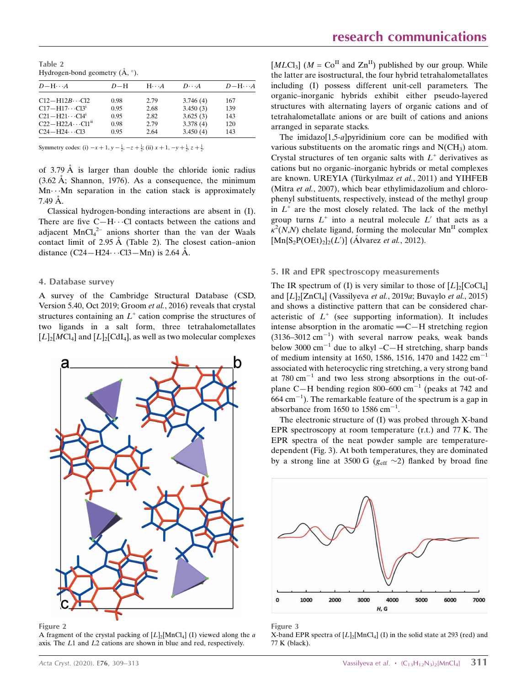Table 2 Hydrogen-bond geometry  $(\AA, \degree)$ .

| $D-H\cdots A$            | $D-H$ | $H \cdot \cdot \cdot A$ | $D\cdot\cdot\cdot A$ | $D-H\cdots A$ |
|--------------------------|-------|-------------------------|----------------------|---------------|
| $C12-H12B\cdots C12$     | 0.98  | 2.79                    | 3.746(4)             | 167           |
| $C17 - H17 \cdots C13^i$ | 0.95  | 2.68                    | 3.450(3)             | 139           |
| $C21 - H21 \cdots C14$   | 0.95  | 2.82                    | 3.625(3)             | 143           |
| $C22-H22A\cdots C11ii$   | 0.98  | 2.79                    | 3.378(4)             | 120           |
| $C24-H24\cdots C13$      | 0.95  | 2.64                    | 3.450(4)             | 143           |

Symmetry codes: (i)  $-x + 1$ ,  $y - \frac{1}{2}$ ,  $-z + \frac{1}{2}$ ; (ii)  $x + 1$ ,  $-y + \frac{1}{2}$ ,  $z + \frac{1}{2}$ .

of 3.79  $\AA$  is larger than double the chloride ionic radius  $(3.62 \text{ Å})$ ; Shannon, 1976). As a consequence, the minimum Mn---Mn separation in the cation stack is approximately  $7.49 \text{ Å}.$ 

Classical hydrogen-bonding interactions are absent in (I). There are five  $C-H\cdots Cl$  contacts between the cations and adjacent  $MnCl<sub>4</sub><sup>2-</sup>$  anions shorter than the van der Waals contact limit of 2.95  $\AA$  (Table 2). The closest cation–anion distance  $(C24 - H24 \cdots C13 - Mn)$  is 2.64 Å.

#### 4. Database survey

A survey of the Cambridge Structural Database (CSD, Version 5.40, Oct 2019; Groom et al., 2016) reveals that crystal structures containing an  $L^+$  cation comprise the structures of two ligands in a salt form, three tetrahalometallates  $[L]_2[MCI_4]$  and  $[L]_2[CdI_4]$ , as well as two molecular complexes



Figure 2

A fragment of the crystal packing of  $[L]_2[{\rm MnCl}_4]$  (I) viewed along the a axis. The L1 and L2 cations are shown in blue and red, respectively.

 $[MLCl<sub>3</sub>]$  ( $M = Co<sup>H</sup>$  and  $Zn<sup>H</sup>$ ) published by our group. While the latter are isostructural, the four hybrid tetrahalometallates including (I) possess different unit-cell parameters. The organic–inorganic hybrids exhibit either pseudo-layered structures with alternating layers of organic cations and of tetrahalometallate anions or are built of cations and anions arranged in separate stacks.

The imidazo[1,5-a]pyridinium core can be modified with various substituents on the aromatic rings and  $N(CH_3)$  atom. Crystal structures of ten organic salts with  $L^+$  derivatives as cations but no organic–inorganic hybrids or metal complexes are known. UREYIA (Türkyılmaz et al., 2011) and YIHFEB (Mitra et al., 2007), which bear ethylimidazolium and chlorophenyl substituents, respectively, instead of the methyl group in  $L^+$  are the most closely related. The lack of the methyl group turns  $L^+$  into a neutral molecule  $L'$  that acts as a  $\kappa^2(N,N)$  chelate ligand, forming the molecular Mn<sup>II</sup> complex  $[{\rm Mn}$ {S<sub>2</sub>P(OEt)<sub>2</sub>}<sub>2</sub>(*L'*)] (Álvarez *et al.*, 2012).

#### 5. IR and EPR spectroscopy measurements

The IR spectrum of (I) is very similar to those of  $[L]_2$ [CoCl<sub>4</sub>] and  $[L]_2[ZnCl_4]$  (Vassilyeva *et al.*, 2019*a*; Buvaylo *et al.*, 2015) and shows a distinctive pattern that can be considered characteristic of  $L^+$  (see supporting information). It includes intense absorption in the aromatic  $=$   $C-H$  stretching region  $(3136-3012 \text{ cm}^{-1})$  with several narrow peaks, weak bands below 3000  $\text{cm}^{-1}$  due to alkyl –C—H stretching, sharp bands of medium intensity at 1650, 1586, 1516, 1470 and 1422  $cm^{-1}$ associated with heterocyclic ring stretching, a very strong band at  $780 \text{ cm}^{-1}$  and two less strong absorptions in the out-ofplane C-H bending region 800-600  $cm^{-1}$  (peaks at 742 and  $664$  cm<sup>-1</sup>). The remarkable feature of the spectrum is a gap in absorbance from 1650 to 1586  $cm^{-1}$ .

The electronic structure of (I) was probed through X-band EPR spectroscopy at room temperature (r.t.) and 77 K. The EPR spectra of the neat powder sample are temperaturedependent (Fig. 3). At both temperatures, they are dominated by a strong line at 3500 G ( $g_{\text{eff}} \sim 2$ ) flanked by broad fine



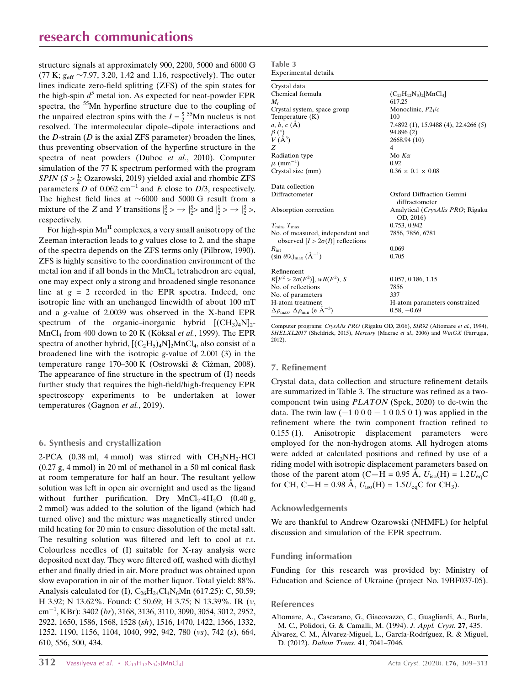structure signals at approximately 900, 2200, 5000 and 6000 G (77 K;  $g_{\text{eff}}$  ~7.97, 3.20, 1.42 and 1.16, respectively). The outer lines indicate zero-field splitting (ZFS) of the spin states for the high-spin  $d^5$  metal ion. As expected for neat-powder EPR spectra, the <sup>55</sup>Mn hyperfine structure due to the coupling of the unpaired electron spins with the  $I = \frac{5}{2}^{55}$ Mn nucleus is not resolved. The intermolecular dipole–dipole interactions and the  $D$ -strain ( $D$  is the axial ZFS parameter) broaden the lines, thus preventing observation of the hyperfine structure in the spectra of neat powders (Duboc et al., 2010). Computer simulation of the 77 K spectrum performed with the program SPIN ( $S > \frac{1}{2}$ ; Ozarowski, 2019) yielded axial and rhombic ZFS parameters D of 0.062 cm<sup>-1</sup> and E close to D/3, respectively. The highest field lines at  $~6000$  and 5000 G result from a mixture of the Z and Y transitions  $|\frac{3}{2}\rangle \rightarrow |\frac{5}{2}\rangle$  and  $|\frac{1}{2}\rangle \rightarrow |\frac{3}{2}\rangle$ , respectively.

For high-spin  $Mn<sup>H</sup>$  complexes, a very small anisotropy of the Zeeman interaction leads to g values close to 2, and the shape of the spectra depends on the ZFS terms only (Pilbrow, 1990). ZFS is highly sensitive to the coordination environment of the metal ion and if all bonds in the  $MnCl<sub>4</sub>$  tetrahedron are equal, one may expect only a strong and broadened single resonance line at  $g = 2$  recorded in the EPR spectra. Indeed, one isotropic line with an unchanged linewidth of about 100 mT and a g-value of 2.0039 was observed in the X-band EPR spectrum of the organic–inorganic hybrid  $[(CH_3)_4N]_2$ - $MnCl<sub>4</sub>$  from 400 down to 20 K (Köksal et al., 1999). The EPR spectra of another hybrid,  $[(C_2H_5)_4N]_2MnCl_4$ , also consist of a broadened line with the isotropic g-value of 2.001 (3) in the temperature range 170–300 K (Ostrowski & Ciżman, 2008). The appearance of fine structure in the spectrum of (I) needs further study that requires the high-field/high-frequency EPR spectroscopy experiments to be undertaken at lower temperatures (Gagnon et al., 2019).

#### 6. Synthesis and crystallization

2-PCA  $(0.38 \text{ ml}, 4 \text{ mmol})$  was stirred with  $CH<sub>3</sub>NH<sub>2</sub>·HCl$ (0.27 g, 4 mmol) in 20 ml of methanol in a 50 ml conical flask at room temperature for half an hour. The resultant yellow solution was left in open air overnight and used as the ligand without further purification. Dry  $MnCl_2 \cdot 4H_2O$  (0.40 g, 2 mmol) was added to the solution of the ligand (which had turned olive) and the mixture was magnetically stirred under mild heating for 20 min to ensure dissolution of the metal salt. The resulting solution was filtered and left to cool at r.t. Colourless needles of (I) suitable for X-ray analysis were deposited next day. They were filtered off, washed with diethyl ether and finally dried in air. More product was obtained upon slow evaporation in air of the mother liquor. Total yield: 88%. Analysis calculated for (I),  $C_{26}H_{24}Cl_4N_6Mn$  (617.25): C, 50.59; H 3.92; N 13.62%. Found: C 50.69; H 3.75; N 13.39%. IR (v,  $\text{cm}^{-1}$ , KBr): 3402 (br), 3168, 3136, 3110, 3090, 3054, 3012, 2952, 2922, 1650, 1586, 1568, 1528 (sh), 1516, 1470, 1422, 1366, 1332, 1252, 1190, 1156, 1104, 1040, 992, 942, 780 (vs), 742 (s), 664, 610, 556, 500, 434.

| Table 3 |                       |
|---------|-----------------------|
|         | Experimental details. |

| Crystal data                                                                 |                                               |
|------------------------------------------------------------------------------|-----------------------------------------------|
| Chemical formula                                                             | $(C_{13}H_{12}N_3)_2[$ MnCl <sub>4</sub> ]    |
| $M_{r}$                                                                      | 617.25                                        |
| Crystal system, space group                                                  | Monoclinic, $P21/c$                           |
| Temperature $(K)$                                                            | 100                                           |
| $a, b, c (\AA)$                                                              | 7.4892 (1), 15.9488 (4), 22.4266 (5)          |
| $\beta$ (°)                                                                  | 94.896 (2)                                    |
| $V(\AA^3)$                                                                   | 2668.94 (10)                                  |
| Z                                                                            | 4                                             |
| <b>Radiation type</b>                                                        | Mo $K\alpha$                                  |
| $\mu$ (mm <sup>-1</sup> )                                                    | 0.92                                          |
| Crystal size (mm)                                                            | $0.36 \times 0.1 \times 0.08$                 |
| Data collection                                                              |                                               |
| Diffractometer                                                               | Oxford Diffraction Gemini<br>diffractometer   |
| Absorption correction                                                        | Analytical (CrysAlis PRO; Rigaku<br>OD, 2016) |
| $T_{\min}, T_{\max}$                                                         | 0.753, 0.942                                  |
| No. of measured, independent and<br>observed $[I > 2\sigma(I)]$ reflections  | 7856, 7856, 6781                              |
| $R_{\rm int}$                                                                | 0.069                                         |
| $(\sin \theta/\lambda)_{\text{max}} (\text{\AA}^{-1})$                       | 0.705                                         |
| Refinement                                                                   |                                               |
| $R[F^2 > 2\sigma(F^2)], wR(F^2), S$                                          | 0.057, 0.186, 1.15                            |
| No. of reflections                                                           | 7856                                          |
| No. of parameters                                                            | 337                                           |
| H-atom treatment                                                             | H-atom parameters constrained                 |
| $\Delta \rho_{\text{max}}$ , $\Delta \rho_{\text{min}}$ (e Å <sup>-3</sup> ) | $0.58, -0.69$                                 |

Computer programs: CrysAlis PRO (Rigaku OD, 2016), SIR92 (Altomare et al., 1994), SHELXL2017 (Sheldrick, 2015), Mercury (Macrae et al., 2006) and WinGX (Farrugia, 2012).

#### 7. Refinement

Crystal data, data collection and structure refinement details are summarized in Table 3. The structure was refined as a twocomponent twin using PLATON (Spek, 2020) to de-twin the data. The twin law  $(-1000 - 100.501)$  was applied in the refinement where the twin component fraction refined to 0.155 (1). Anisotropic displacement parameters were employed for the non-hydrogen atoms. All hydrogen atoms were added at calculated positions and refined by use of a riding model with isotropic displacement parameters based on those of the parent atom (C—H = 0.95 Å,  $U_{\text{iso}}(H) = 1.2U_{\text{eq}}C$ for CH, C-H = 0.98 Å,  $U_{\text{iso}}(H) = 1.5U_{\text{eq}}C$  for CH<sub>3</sub>).

## Acknowledgements

We are thankful to Andrew Ozarowski (NHMFL) for helpful discussion and simulation of the EPR spectrum.

#### Funding information

Funding for this research was provided by: Ministry of Education and Science of Ukraine (project No. 19BF037-05).

#### References

[Altomare, A., Cascarano, G., Giacovazzo, C., Guagliardi, A., Burla,](http://scripts.iucr.org/cgi-bin/cr.cgi?rm=pdfbb&cnor=lh5945&bbid=BB1) [M. C., Polidori, G. & Camalli, M. \(1994\).](http://scripts.iucr.org/cgi-bin/cr.cgi?rm=pdfbb&cnor=lh5945&bbid=BB1) J. Appl. Cryst. 27, 435. Alvarez, C. M., Alvarez-Miguel, L., García-Rodríguez, R. & Miguel,

D. (2012). [Dalton Trans.](http://scripts.iucr.org/cgi-bin/cr.cgi?rm=pdfbb&cnor=lh5945&bbid=BB2) 41, 7041–7046.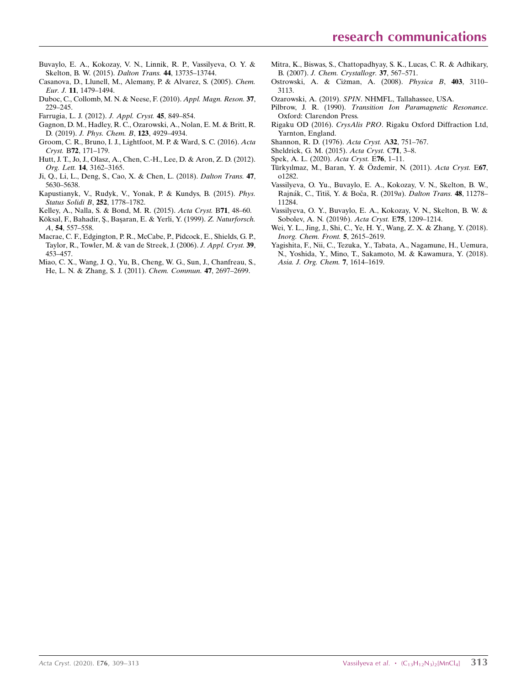- [Buvaylo, E. A., Kokozay, V. N., Linnik, R. P., Vassilyeva, O. Y. &](http://scripts.iucr.org/cgi-bin/cr.cgi?rm=pdfbb&cnor=lh5945&bbid=BB28) [Skelton, B. W. \(2015\).](http://scripts.iucr.org/cgi-bin/cr.cgi?rm=pdfbb&cnor=lh5945&bbid=BB28) Dalton Trans. 44, 13735–13744.
- [Casanova, D., Llunell, M., Alemany, P. & Alvarez, S. \(2005\).](http://scripts.iucr.org/cgi-bin/cr.cgi?rm=pdfbb&cnor=lh5945&bbid=BB4) Chem. Eur. J. 11[, 1479–1494.](http://scripts.iucr.org/cgi-bin/cr.cgi?rm=pdfbb&cnor=lh5945&bbid=BB4)
- [Duboc, C., Collomb, M. N. & Neese, F. \(2010\).](http://scripts.iucr.org/cgi-bin/cr.cgi?rm=pdfbb&cnor=lh5945&bbid=BB5) Appl. Magn. Reson. 37, [229–245.](http://scripts.iucr.org/cgi-bin/cr.cgi?rm=pdfbb&cnor=lh5945&bbid=BB5)
- [Farrugia, L. J. \(2012\).](http://scripts.iucr.org/cgi-bin/cr.cgi?rm=pdfbb&cnor=lh5945&bbid=BB6) J. Appl. Cryst. 45, 849–854.
- [Gagnon, D. M., Hadley, R. C., Ozarowski, A., Nolan, E. M. & Britt, R.](http://scripts.iucr.org/cgi-bin/cr.cgi?rm=pdfbb&cnor=lh5945&bbid=BB7) D. (2019). [J. Phys. Chem. B](http://scripts.iucr.org/cgi-bin/cr.cgi?rm=pdfbb&cnor=lh5945&bbid=BB7), 123, 4929–4934.
- [Groom, C. R., Bruno, I. J., Lightfoot, M. P. & Ward, S. C. \(2016\).](http://scripts.iucr.org/cgi-bin/cr.cgi?rm=pdfbb&cnor=lh5945&bbid=BB8) Acta Cryst. B72[, 171–179.](http://scripts.iucr.org/cgi-bin/cr.cgi?rm=pdfbb&cnor=lh5945&bbid=BB8)
- [Hutt, J. T., Jo, J., Olasz, A., Chen, C.-H., Lee, D. & Aron, Z. D. \(2012\).](http://scripts.iucr.org/cgi-bin/cr.cgi?rm=pdfbb&cnor=lh5945&bbid=BB9) Org. Lett. 14[, 3162–3165.](http://scripts.iucr.org/cgi-bin/cr.cgi?rm=pdfbb&cnor=lh5945&bbid=BB9)
- [Ji, Q., Li, L., Deng, S., Cao, X. & Chen, L. \(2018\).](http://scripts.iucr.org/cgi-bin/cr.cgi?rm=pdfbb&cnor=lh5945&bbid=BB10) Dalton Trans. 47, [5630–5638.](http://scripts.iucr.org/cgi-bin/cr.cgi?rm=pdfbb&cnor=lh5945&bbid=BB10)
- [Kapustianyk, V., Rudyk, V., Yonak, P. & Kundys, B. \(2015\).](http://scripts.iucr.org/cgi-bin/cr.cgi?rm=pdfbb&cnor=lh5945&bbid=BB11) Phys. [Status Solidi B](http://scripts.iucr.org/cgi-bin/cr.cgi?rm=pdfbb&cnor=lh5945&bbid=BB11), 252, 1778–1782.
- [Kelley, A., Nalla, S. & Bond, M. R. \(2015\).](http://scripts.iucr.org/cgi-bin/cr.cgi?rm=pdfbb&cnor=lh5945&bbid=BB12) Acta Cryst. B71, 48–60.
- Köksal, F., Bahadir, Ş., Başaran, E. & Yerli, Y. (1999). Z. Naturforsch. A, 54[, 557–558.](http://scripts.iucr.org/cgi-bin/cr.cgi?rm=pdfbb&cnor=lh5945&bbid=BB13)
- [Macrae, C. F., Edgington, P. R., McCabe, P., Pidcock, E., Shields, G. P.,](http://scripts.iucr.org/cgi-bin/cr.cgi?rm=pdfbb&cnor=lh5945&bbid=BB14) [Taylor, R., Towler, M. & van de Streek, J. \(2006\).](http://scripts.iucr.org/cgi-bin/cr.cgi?rm=pdfbb&cnor=lh5945&bbid=BB14) J. Appl. Cryst. 39, [453–457.](http://scripts.iucr.org/cgi-bin/cr.cgi?rm=pdfbb&cnor=lh5945&bbid=BB14)
- [Miao, C. X., Wang, J. Q., Yu, B., Cheng, W. G., Sun, J., Chanfreau, S.,](http://scripts.iucr.org/cgi-bin/cr.cgi?rm=pdfbb&cnor=lh5945&bbid=BB15) [He, L. N. & Zhang, S. J. \(2011\).](http://scripts.iucr.org/cgi-bin/cr.cgi?rm=pdfbb&cnor=lh5945&bbid=BB15) Chem. Commun. 47, 2697–2699.
- [Mitra, K., Biswas, S., Chattopadhyay, S. K., Lucas, C. R. & Adhikary,](http://scripts.iucr.org/cgi-bin/cr.cgi?rm=pdfbb&cnor=lh5945&bbid=BB16) B. (2007). [J. Chem. Crystallogr.](http://scripts.iucr.org/cgi-bin/cr.cgi?rm=pdfbb&cnor=lh5945&bbid=BB16) 37, 567–571.
- Ostrowski, A. & Cizman, A. (2008). Physica B, 403, 3110-[3113.](http://scripts.iucr.org/cgi-bin/cr.cgi?rm=pdfbb&cnor=lh5945&bbid=BB17)
- Ozarowski, A. (2019). SPIN[. NHMFL, Tallahassee, USA.](http://scripts.iucr.org/cgi-bin/cr.cgi?rm=pdfbb&cnor=lh5945&bbid=BB18)
- Pilbrow, J. R. (1990). [Transition Ion Paramagnetic Resonance](http://scripts.iucr.org/cgi-bin/cr.cgi?rm=pdfbb&cnor=lh5945&bbid=BB19). [Oxford: Clarendon Press.](http://scripts.iucr.org/cgi-bin/cr.cgi?rm=pdfbb&cnor=lh5945&bbid=BB19)
- Rigaku OD (2016). CrysAlis PRO[. Rigaku Oxford Diffraction Ltd,](http://scripts.iucr.org/cgi-bin/cr.cgi?rm=pdfbb&cnor=lh5945&bbid=BB20) [Yarnton, England.](http://scripts.iucr.org/cgi-bin/cr.cgi?rm=pdfbb&cnor=lh5945&bbid=BB20)
- [Shannon, R. D. \(1976\).](http://scripts.iucr.org/cgi-bin/cr.cgi?rm=pdfbb&cnor=lh5945&bbid=BB21) Acta Cryst. A32, 751–767.
- [Sheldrick, G. M. \(2015\).](http://scripts.iucr.org/cgi-bin/cr.cgi?rm=pdfbb&cnor=lh5945&bbid=BB22) Acta Cryst. C71, 3–8.
- [Spek, A. L. \(2020\).](http://scripts.iucr.org/cgi-bin/cr.cgi?rm=pdfbb&cnor=lh5945&bbid=BB23) Acta Cryst. E76, 1–11.
- Türkyılmaz, M., Baran, Y. & Özdemir, N. (2011). Acta Cryst. E67, [o1282.](http://scripts.iucr.org/cgi-bin/cr.cgi?rm=pdfbb&cnor=lh5945&bbid=BB24)
- [Vassilyeva, O. Yu., Buvaylo, E. A., Kokozay, V. N., Skelton, B. W.,](http://scripts.iucr.org/cgi-bin/cr.cgi?rm=pdfbb&cnor=lh5945&bbid=BB25) Rajnák, C., Titiš, Y. & Boča, R. (2019a). Dalton Trans. 48, 11278-[11284.](http://scripts.iucr.org/cgi-bin/cr.cgi?rm=pdfbb&cnor=lh5945&bbid=BB25)
- [Vassilyeva, O. Y., Buvaylo, E. A., Kokozay, V. N., Skelton, B. W. &](http://scripts.iucr.org/cgi-bin/cr.cgi?rm=pdfbb&cnor=lh5945&bbid=BB26) [Sobolev, A. N. \(2019](http://scripts.iucr.org/cgi-bin/cr.cgi?rm=pdfbb&cnor=lh5945&bbid=BB26)b). Acta Cryst. E75, 1209–1214.
- [Wei, Y. L., Jing, J., Shi, C., Ye, H. Y., Wang, Z. X. & Zhang, Y. \(2018\).](http://scripts.iucr.org/cgi-bin/cr.cgi?rm=pdfbb&cnor=lh5945&bbid=BB27) [Inorg. Chem. Front.](http://scripts.iucr.org/cgi-bin/cr.cgi?rm=pdfbb&cnor=lh5945&bbid=BB27) 5, 2615–2619.
- [Yagishita, F., Nii, C., Tezuka, Y., Tabata, A., Nagamune, H., Uemura,](http://scripts.iucr.org/cgi-bin/cr.cgi?rm=pdfbb&cnor=lh5945&bbid=BB28) [N., Yoshida, Y., Mino, T., Sakamoto, M. & Kawamura, Y. \(2018\).](http://scripts.iucr.org/cgi-bin/cr.cgi?rm=pdfbb&cnor=lh5945&bbid=BB28) [Asia. J. Org. Chem.](http://scripts.iucr.org/cgi-bin/cr.cgi?rm=pdfbb&cnor=lh5945&bbid=BB28) 7, 1614–1619.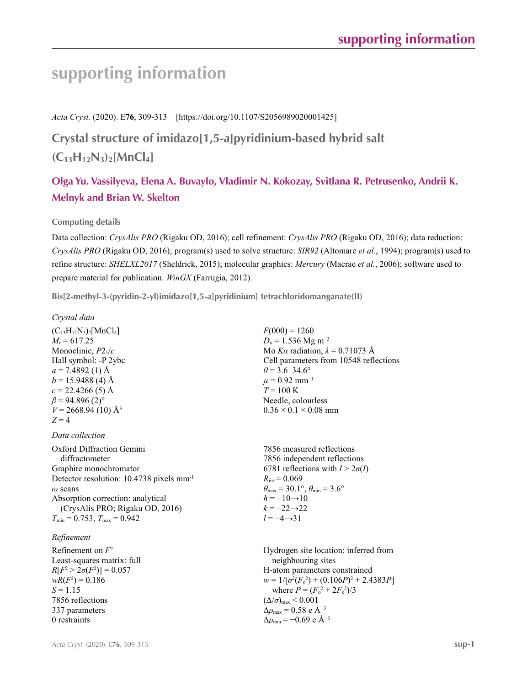# **supporting information**

*Acta Cryst.* (2020). E**76**, 309-313 [https://doi.org/10.1107/S2056989020001425]

**Crystal structure of imidazo[1,5-***a***]pyridinium-based hybrid salt**   $(C_{13}H_{12}N_3)$ <sub>2</sub>[MnCl<sub>4</sub>]

# **Olga Yu. Vassilyeva, Elena A. Buvaylo, Vladimir N. Kokozay, Svitlana R. Petrusenko, Andrii K. Melnyk and Brian W. Skelton**

## **Computing details**

Data collection: *CrysAlis PRO* (Rigaku OD, 2016); cell refinement: *CrysAlis PRO* (Rigaku OD, 2016); data reduction: *CrysAlis PRO* (Rigaku OD, 2016); program(s) used to solve structure: *SIR92* (Altomare *et al.*, 1994); program(s) used to refine structure: *SHELXL2017* (Sheldrick, 2015); molecular graphics: *Mercury* (Macrae *et al.*, 2006); software used to prepare material for publication: *WinGX* (Farrugia, 2012).

**Bis[2-methyl-3-(pyridin-2-yl)imidazo[1,5-***a***]pyridinium] tetrachloridomanganate(II)** 

#### *Crystal data*

 $(C_{13}H_{12}N_3)_2$ [MnCl<sub>4</sub>]  $M_r = 617.25$ Monoclinic, *P*21/*c* Hall symbol: -P 2ybc  $a = 7.4892(1)$  Å  $b = 15.9488$  (4) Å  $c = 22.4266(5)$  Å  $\beta$  = 94.896 (2)<sup>°</sup>  $V = 2668.94(10)$  Å<sup>3</sup>  $Z = 4$ 

## *Data collection*

Oxford Diffraction Gemini diffractometer Graphite monochromator Detector resolution: 10.4738 pixels mm-1 *ω* scans Absorption correction: analytical (CrysAlis PRO; Rigaku OD, 2016)  $T_{\text{min}} = 0.753$ ,  $T_{\text{max}} = 0.942$ 

## *Refinement*

Refinement on *F*<sup>2</sup> Least-squares matrix: full *R*[ $F^2 > 2\sigma(F^2)$ ] = 0.057  $wR(F^2) = 0.186$  $S = 1.15$ 7856 reflections 337 parameters 0 restraints

 $F(000) = 1260$  $D_x = 1.536$  Mg m<sup>-3</sup> Mo *Kα* radiation,  $\lambda = 0.71073$  Å Cell parameters from 10548 reflections  $\theta$  = 3.6–34.6°  $\mu$  = 0.92 mm<sup>-1</sup>  $T = 100 \text{ K}$ Needle, colourless  $0.36 \times 0.1 \times 0.08$  mm

7856 measured reflections 7856 independent reflections 6781 reflections with  $I > 2\sigma(I)$  $R_{\text{int}} = 0.069$  $\theta_{\text{max}} = 30.1^{\circ}, \theta_{\text{min}} = 3.6^{\circ}$  $h = -10 \rightarrow 10$  $k = -22 \rightarrow 22$ *l* = −4→31

Hydrogen site location: inferred from neighbouring sites H-atom parameters constrained  $w = 1/[\sigma^2 (F_o^2) + (0.106P)^2 + 2.4383P]$ where  $P = (F_o^2 + 2F_c^2)/3$  $(\Delta/\sigma)_{\text{max}}$  < 0.001 Δ*ρ*max = 0.58 e Å−3  $\Delta\rho_{\rm min}$  = −0.69 e Å<sup>-3</sup>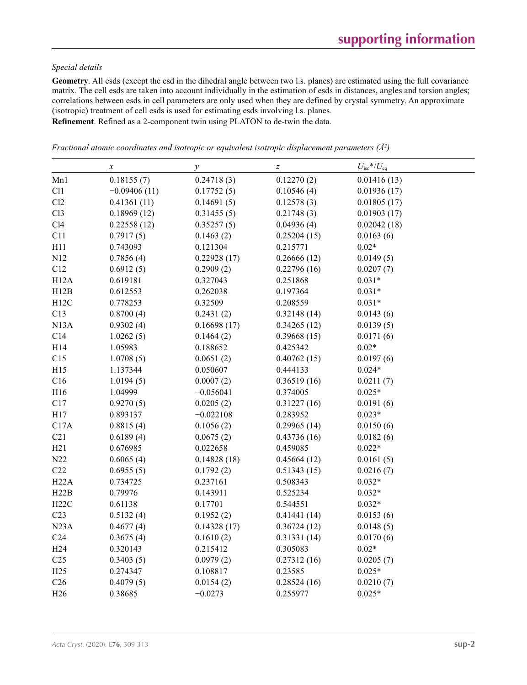#### *Special details*

**Geometry**. All esds (except the esd in the dihedral angle between two l.s. planes) are estimated using the full covariance matrix. The cell esds are taken into account individually in the estimation of esds in distances, angles and torsion angles; correlations between esds in cell parameters are only used when they are defined by crystal symmetry. An approximate (isotropic) treatment of cell esds is used for estimating esds involving l.s. planes.

**Refinement**. Refined as a 2-component twin using PLATON to de-twin the data.

| Fractional atomic coordinates and isotropic or equivalent isotropic displacement parameters $(A^2)$ |  |  |  |  |  |  |
|-----------------------------------------------------------------------------------------------------|--|--|--|--|--|--|
|-----------------------------------------------------------------------------------------------------|--|--|--|--|--|--|

|                 | $\boldsymbol{x}$ | $\mathcal{V}$ | $\boldsymbol{Z}$ | $U_{\rm iso}*/U_{\rm eq}$ |
|-----------------|------------------|---------------|------------------|---------------------------|
| Mn1             | 0.18155(7)       | 0.24718(3)    | 0.12270(2)       | 0.01416(13)               |
| C11             | $-0.09406(11)$   | 0.17752(5)    | 0.10546(4)       | 0.01936(17)               |
| Cl2             | 0.41361(11)      | 0.14691(5)    | 0.12578(3)       | 0.01805(17)               |
| Cl3             | 0.18969(12)      | 0.31455(5)    | 0.21748(3)       | 0.01903(17)               |
| C14             | 0.22558(12)      | 0.35257(5)    | 0.04936(4)       | 0.02042(18)               |
| C11             | 0.7917(5)        | 0.1463(2)     | 0.25204(15)      | 0.0163(6)                 |
| H11             | 0.743093         | 0.121304      | 0.215771         | $0.02*$                   |
| N12             | 0.7856(4)        | 0.22928(17)   | 0.26666(12)      | 0.0149(5)                 |
| C12             | 0.6912(5)        | 0.2909(2)     | 0.22796(16)      | 0.0207(7)                 |
| H12A            | 0.619181         | 0.327043      | 0.251868         | $0.031*$                  |
| H12B            | 0.612553         | 0.262038      | 0.197364         | $0.031*$                  |
| H12C            | 0.778253         | 0.32509       | 0.208559         | $0.031*$                  |
| C13             | 0.8700(4)        | 0.2431(2)     | 0.32148(14)      | 0.0143(6)                 |
| N13A            | 0.9302(4)        | 0.16698(17)   | 0.34265(12)      | 0.0139(5)                 |
| C14             | 1.0262(5)        | 0.1464(2)     | 0.39668(15)      | 0.0171(6)                 |
| H14             | 1.05983          | 0.188652      | 0.425342         | $0.02*$                   |
| C15             | 1.0708(5)        | 0.0651(2)     | 0.40762(15)      | 0.0197(6)                 |
| H15             | 1.137344         | 0.050607      | 0.444133         | $0.024*$                  |
| C16             | 1.0194(5)        | 0.0007(2)     | 0.36519(16)      | 0.0211(7)                 |
| H16             | 1.04999          | $-0.056041$   | 0.374005         | $0.025*$                  |
| C17             | 0.9270(5)        | 0.0205(2)     | 0.31227(16)      | 0.0191(6)                 |
| H17             | 0.893137         | $-0.022108$   | 0.283952         | $0.023*$                  |
| C17A            | 0.8815(4)        | 0.1056(2)     | 0.29965(14)      | 0.0150(6)                 |
| C21             | 0.6189(4)        | 0.0675(2)     | 0.43736(16)      | 0.0182(6)                 |
| H21             | 0.676985         | 0.022658      | 0.459085         | $0.022*$                  |
| N22             | 0.6065(4)        | 0.14828(18)   | 0.45664(12)      | 0.0161(5)                 |
| C22             | 0.6955(5)        | 0.1792(2)     | 0.51343(15)      | 0.0216(7)                 |
| H22A            | 0.734725         | 0.237161      | 0.508343         | $0.032*$                  |
| H22B            | 0.79976          | 0.143911      | 0.525234         | $0.032*$                  |
| H22C            | 0.61138          | 0.17701       | 0.544551         | $0.032*$                  |
| C <sub>23</sub> | 0.5132(4)        | 0.1952(2)     | 0.41441(14)      | 0.0153(6)                 |
| N23A            | 0.4677(4)        | 0.14328(17)   | 0.36724(12)      | 0.0148(5)                 |
| C <sub>24</sub> | 0.3675(4)        | 0.1610(2)     | 0.31331(14)      | 0.0170(6)                 |
| H24             | 0.320143         | 0.215412      | 0.305083         | $0.02*$                   |
| C <sub>25</sub> | 0.3403(5)        | 0.0979(2)     | 0.27312(16)      | 0.0205(7)                 |
| H25             | 0.274347         | 0.108817      | 0.23585          | $0.025*$                  |
| C <sub>26</sub> | 0.4079(5)        | 0.0154(2)     | 0.28524(16)      | 0.0210(7)                 |
| H <sub>26</sub> | 0.38685          | $-0.0273$     | 0.255977         | $0.025*$                  |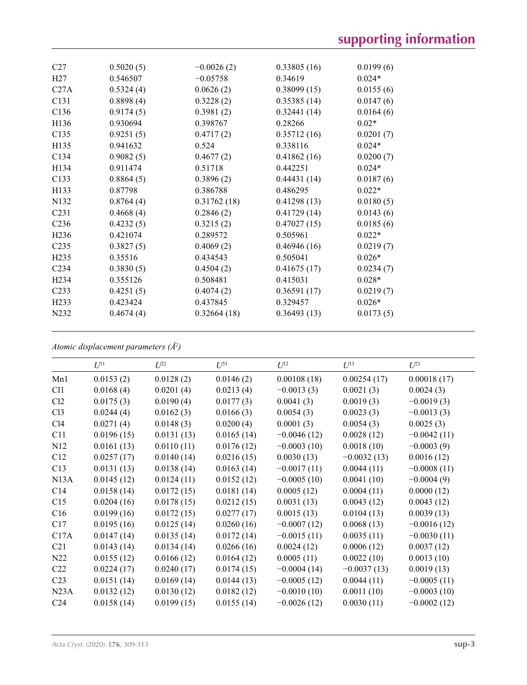| C <sub>27</sub>   | 0.5020(5) | $-0.0026(2)$ | 0.33805(16) | 0.0199(6) |
|-------------------|-----------|--------------|-------------|-----------|
| H27               | 0.546507  | $-0.05758$   | 0.34619     | $0.024*$  |
| C27A              | 0.5324(4) | 0.0626(2)    | 0.38099(15) | 0.0155(6) |
| C131              | 0.8898(4) | 0.3228(2)    | 0.35385(14) | 0.0147(6) |
| C <sub>136</sub>  | 0.9174(5) | 0.3981(2)    | 0.32441(14) | 0.0164(6) |
| H136              | 0.930694  | 0.398767     | 0.28266     | $0.02*$   |
| C135              | 0.9251(5) | 0.4717(2)    | 0.35712(16) | 0.0201(7) |
| H135              | 0.941632  | 0.524        | 0.338116    | $0.024*$  |
| C134              | 0.9082(5) | 0.4677(2)    | 0.41862(16) | 0.0200(7) |
| H134              | 0.911474  | 0.51718      | 0.442251    | $0.024*$  |
| C133              | 0.8864(5) | 0.3896(2)    | 0.44431(14) | 0.0187(6) |
| H133              | 0.87798   | 0.386788     | 0.486295    | $0.022*$  |
| N132              | 0.8764(4) | 0.31762(18)  | 0.41298(13) | 0.0180(5) |
| C <sub>231</sub>  | 0.4668(4) | 0.2846(2)    | 0.41729(14) | 0.0143(6) |
| C <sub>236</sub>  | 0.4232(5) | 0.3215(2)    | 0.47027(15) | 0.0185(6) |
| H <sub>236</sub>  | 0.421074  | 0.289572     | 0.505961    | $0.022*$  |
| C <sub>235</sub>  | 0.3827(5) | 0.4069(2)    | 0.46946(16) | 0.0219(7) |
| H <sub>235</sub>  | 0.35516   | 0.434543     | 0.505041    | $0.026*$  |
| C <sub>234</sub>  | 0.3830(5) | 0.4504(2)    | 0.41675(17) | 0.0234(7) |
| H <sub>2</sub> 34 | 0.355126  | 0.508481     | 0.415031    | $0.028*$  |
| C <sub>233</sub>  | 0.4251(5) | 0.4074(2)    | 0.36591(17) | 0.0219(7) |
| H <sub>2</sub> 33 | 0.423424  | 0.437845     | 0.329457    | $0.026*$  |
| N <sub>2</sub> 32 | 0.4674(4) | 0.32664(18)  | 0.36493(13) | 0.0173(5) |
|                   |           |              |             |           |

*Atomic displacement parameters (Å2 )*

|                 | $U^{11}$   | $U^{22}$   | $U^{33}$   | $U^{12}$      | $U^{13}$      | $U^{23}$      |
|-----------------|------------|------------|------------|---------------|---------------|---------------|
| Mn1             | 0.0153(2)  | 0.0128(2)  | 0.0146(2)  | 0.00108(18)   | 0.00254(17)   | 0.00018(17)   |
| C11             | 0.0168(4)  | 0.0201(4)  | 0.0213(4)  | $-0.0013(3)$  | 0.0021(3)     | 0.0024(3)     |
| Cl2             | 0.0175(3)  | 0.0190(4)  | 0.0177(3)  | 0.0041(3)     | 0.0019(3)     | $-0.0019(3)$  |
| Cl <sub>3</sub> | 0.0244(4)  | 0.0162(3)  | 0.0166(3)  | 0.0054(3)     | 0.0023(3)     | $-0.0013(3)$  |
| C14             | 0.0271(4)  | 0.0148(3)  | 0.0200(4)  | 0.0001(3)     | 0.0054(3)     | 0.0025(3)     |
| C11             | 0.0196(15) | 0.0131(13) | 0.0165(14) | $-0.0046(12)$ | 0.0028(12)    | $-0.0042(11)$ |
| N <sub>12</sub> | 0.0161(13) | 0.0110(11) | 0.0176(12) | $-0.0003(10)$ | 0.0018(10)    | $-0.0003(9)$  |
| C12             | 0.0257(17) | 0.0140(14) | 0.0216(15) | 0.0030(13)    | $-0.0032(13)$ | 0.0016(12)    |
| C13             | 0.0131(13) | 0.0138(14) | 0.0163(14) | $-0.0017(11)$ | 0.0044(11)    | $-0.0008(11)$ |
| N13A            | 0.0145(12) | 0.0124(11) | 0.0152(12) | $-0.0005(10)$ | 0.0041(10)    | $-0.0004(9)$  |
| C14             | 0.0158(14) | 0.0172(15) | 0.0181(14) | 0.0005(12)    | 0.0004(11)    | 0.0000(12)    |
| C15             | 0.0204(16) | 0.0178(15) | 0.0212(15) | 0.0031(13)    | 0.0043(12)    | 0.0043(12)    |
| C16             | 0.0199(16) | 0.0172(15) | 0.0277(17) | 0.0015(13)    | 0.0104(13)    | 0.0039(13)    |
| C17             | 0.0195(16) | 0.0125(14) | 0.0260(16) | $-0.0007(12)$ | 0.0068(13)    | $-0.0016(12)$ |
| C17A            | 0.0147(14) | 0.0135(14) | 0.0172(14) | $-0.0015(11)$ | 0.0035(11)    | $-0.0030(11)$ |
| C <sub>21</sub> | 0.0143(14) | 0.0134(14) | 0.0266(16) | 0.0024(12)    | 0.0006(12)    | 0.0037(12)    |
| N22             | 0.0155(12) | 0.0166(12) | 0.0164(12) | 0.0005(11)    | 0.0022(10)    | 0.0013(10)    |
| C <sub>22</sub> | 0.0224(17) | 0.0240(17) | 0.0174(15) | $-0.0004(14)$ | $-0.0037(13)$ | 0.0019(13)    |
| C <sub>23</sub> | 0.0151(14) | 0.0169(14) | 0.0144(13) | $-0.0005(12)$ | 0.0044(11)    | $-0.0005(11)$ |
| N23A            | 0.0132(12) | 0.0130(12) | 0.0182(12) | $-0.0010(10)$ | 0.0011(10)    | $-0.0003(10)$ |
| C <sub>24</sub> | 0.0158(14) | 0.0199(15) | 0.0155(14) | $-0.0026(12)$ | 0.0030(11)    | $-0.0002(12)$ |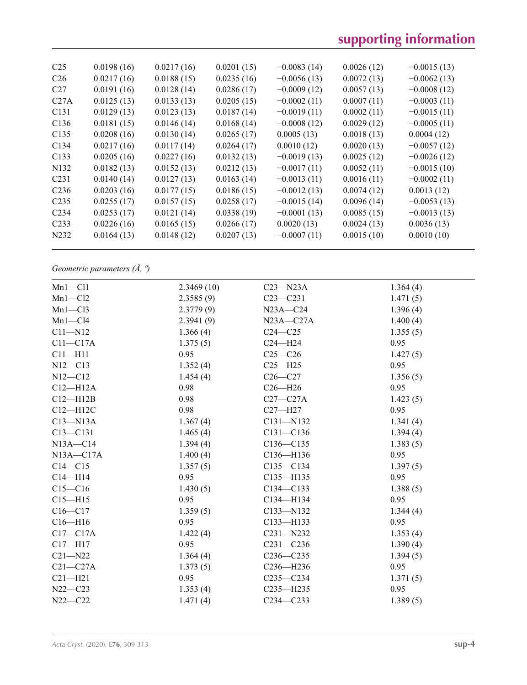| C <sub>25</sub>   | 0.0198(16) | 0.0217(16) | 0.0201(15) | $-0.0083(14)$ | 0.0026(12) | $-0.0015(13)$ |
|-------------------|------------|------------|------------|---------------|------------|---------------|
| C <sub>26</sub>   | 0.0217(16) | 0.0188(15) | 0.0235(16) | $-0.0056(13)$ | 0.0072(13) | $-0.0062(13)$ |
| C <sub>27</sub>   | 0.0191(16) | 0.0128(14) | 0.0286(17) | $-0.0009(12)$ | 0.0057(13) | $-0.0008(12)$ |
| C27A              | 0.0125(13) | 0.0133(13) | 0.0205(15) | $-0.0002(11)$ | 0.0007(11) | $-0.0003(11)$ |
| C <sub>131</sub>  | 0.0129(13) | 0.0123(13) | 0.0187(14) | $-0.0019(11)$ | 0.0002(11) | $-0.0015(11)$ |
| C <sub>136</sub>  | 0.0181(15) | 0.0146(14) | 0.0168(14) | $-0.0008(12)$ | 0.0029(12) | $-0.0005(11)$ |
| C <sub>135</sub>  | 0.0208(16) | 0.0130(14) | 0.0265(17) | 0.0005(13)    | 0.0018(13) | 0.0004(12)    |
| C <sub>134</sub>  | 0.0217(16) | 0.0117(14) | 0.0264(17) | 0.0010(12)    | 0.0020(13) | $-0.0057(12)$ |
| C <sub>133</sub>  | 0.0205(16) | 0.0227(16) | 0.0132(13) | $-0.0019(13)$ | 0.0025(12) | $-0.0026(12)$ |
| N <sub>1</sub> 32 | 0.0182(13) | 0.0152(13) | 0.0212(13) | $-0.0017(11)$ | 0.0052(11) | $-0.0015(10)$ |
| C <sub>231</sub>  | 0.0140(14) | 0.0127(13) | 0.0163(14) | $-0.0013(11)$ | 0.0016(11) | $-0.0002(11)$ |
| C <sub>236</sub>  | 0.0203(16) | 0.0177(15) | 0.0186(15) | $-0.0012(13)$ | 0.0074(12) | 0.0013(12)    |
| C <sub>235</sub>  | 0.0255(17) | 0.0157(15) | 0.0258(17) | $-0.0015(14)$ | 0.0096(14) | $-0.0053(13)$ |
| C <sub>2</sub> 34 | 0.0253(17) | 0.0121(14) | 0.0338(19) | $-0.0001(13)$ | 0.0085(15) | $-0.0013(13)$ |
| C <sub>2</sub> 33 | 0.0226(16) | 0.0165(15) | 0.0266(17) | 0.0020(13)    | 0.0024(13) | 0.0036(13)    |
| N <sub>2</sub> 32 | 0.0164(13) | 0.0148(12) | 0.0207(13) | $-0.0007(11)$ | 0.0015(10) | 0.0010(10)    |
|                   |            |            |            |               |            |               |

*Geometric parameters (Å, º)*

| $Mn1 - Cl1$   | 2.3469(10) | $C23 - N23A$  | 1.364(4) |
|---------------|------------|---------------|----------|
| $Mn1-C12$     | 2.3585(9)  | $C23 - C231$  | 1.471(5) |
| $Mn1-C13$     | 2.3779(9)  | $N23A - C24$  | 1.396(4) |
| $Mn1-C14$     | 2.3941(9)  | $N23A - C27A$ | 1.400(4) |
| $C11 - N12$   | 1.366(4)   | $C24 - C25$   | 1.355(5) |
| $C11 - C17A$  | 1.375(5)   | $C24 - H24$   | 0.95     |
| $C11 - H11$   | 0.95       | $C25-C26$     | 1.427(5) |
| $N12 - C13$   | 1.352(4)   | $C25 - H25$   | 0.95     |
| $N12 - C12$   | 1.454(4)   | $C26-C27$     | 1.356(5) |
| $C12 - H12A$  | 0.98       | $C26 - H26$   | 0.95     |
| $C12 - H12B$  | 0.98       | $C27-C27A$    | 1.423(5) |
| $C12 - H12C$  | 0.98       | $C27 - H27$   | 0.95     |
| $C13 - N13A$  | 1.367(4)   | C131-N132     | 1.341(4) |
| $C13 - C131$  | 1.465(4)   | $C131 - C136$ | 1.394(4) |
| $N13A - C14$  | 1.394(4)   | $C136 - C135$ | 1.383(5) |
| $N13A - C17A$ | 1.400(4)   | C136-H136     | 0.95     |
| $C14 - C15$   | 1.357(5)   | $C135 - C134$ | 1.397(5) |
| $C14 - H14$   | 0.95       | C135-H135     | 0.95     |
| $C15-C16$     | 1.430(5)   | $C134 - C133$ | 1.388(5) |
| $C15 - H15$   | 0.95       | C134-H134     | 0.95     |
| $C16 - C17$   | 1.359(5)   | C133-N132     | 1.344(4) |
| $C16 - H16$   | 0.95       | $C133 - H133$ | 0.95     |
| $C17 - C17A$  | 1.422(4)   | $C231 - N232$ | 1.353(4) |
| $C17 - H17$   | 0.95       | $C231 - C236$ | 1.390(4) |
| $C21 - N22$   | 1.364(4)   | $C236 - C235$ | 1.394(5) |
| $C21 - C27A$  | 1.373(5)   | $C236 - H236$ | 0.95     |
| $C21 - H21$   | 0.95       | $C235 - C234$ | 1.371(5) |
| $N22 - C23$   | 1.353(4)   | $C235 - H235$ | 0.95     |
| $N22 - C22$   | 1.471(4)   | $C234 - C233$ | 1.389(5) |
|               |            |               |          |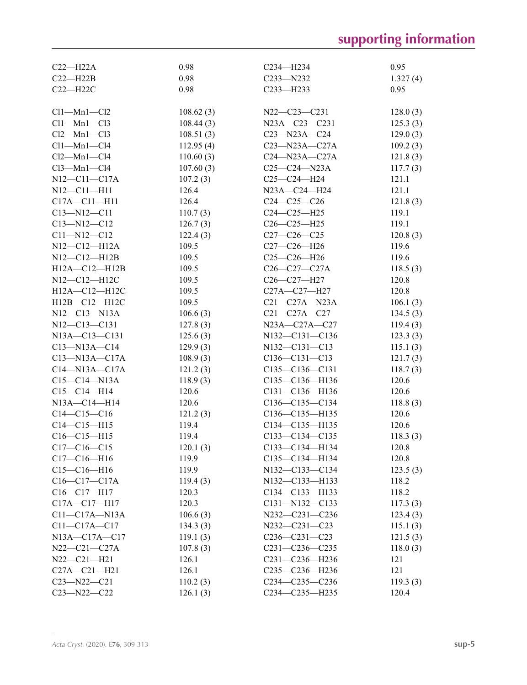| $C22-H22A$              | 0.98      | C <sub>234</sub> —H <sub>234</sub> | 0.95     |
|-------------------------|-----------|------------------------------------|----------|
| $C22 - H22B$            | 0.98      | $C233 - N232$                      | 1.327(4) |
| $C22 - H22C$            | 0.98      | $C233 - H233$                      | 0.95     |
|                         |           |                                    |          |
| $Cl1-Mn1-Cl2$           | 108.62(3) | $N22-C23-C231$                     | 128.0(3) |
| $Cl1-Mn1-C13$           | 108.44(3) | N23A-C23-C231                      | 125.3(3) |
| $Cl2-Mn1-Cl3$           | 108.51(3) | $C23 - N23A - C24$                 | 129.0(3) |
| $Cl1-Mn1-C14$           | 112.95(4) | $C23$ -N23A- $C27A$                | 109.2(3) |
| $Cl2-Mn1-C14$           | 110.60(3) | $C24 - N23A - C27A$                | 121.8(3) |
| $Cl3-Mn1-C14$           | 107.60(3) | $C25-C24-N23A$                     | 117.7(3) |
| $N12 - C11 - C17A$      | 107.2(3)  | $C25-C24-H24$                      | 121.1    |
| $N12 - C11 - H11$       | 126.4     | N23A-C24-H24                       | 121.1    |
| $C17A - C11 - H11$      | 126.4     | $C24 - C25 - C26$                  | 121.8(3) |
| $C13 - N12 - C11$       | 110.7(3)  | $C24 - C25 - H25$                  | 119.1    |
| $C13 - N12 - C12$       | 126.7(3)  | $C26 - C25 - H25$                  | 119.1    |
| $C11 - N12 - C12$       | 122.4(3)  | $C27 - C26 - C25$                  | 120.8(3) |
| $N12$ — $C12$ — $H12A$  | 109.5     | $C27-C26-H26$                      | 119.6    |
| $N12 - C12 - H12B$      | 109.5     | $C25-C26-H26$                      | 119.6    |
| $H12A - C12 - H12B$     | 109.5     | $C26-C27-C27A$                     | 118.5(3) |
| N12-C12-H12C            | 109.5     | $C26 - C27 - H27$                  | 120.8    |
| H12A-C12-H12C           | 109.5     | $C27A - C27 - H27$                 | 120.8    |
| H12B-C12-H12C           | 109.5     | $C21-C27A- N23A$                   | 106.1(3) |
| $N12 - C13 - N13A$      | 106.6(3)  | $C21 - C27A - C27$                 | 134.5(3) |
| N12-C13-C131            | 127.8(3)  | N23A-C27A-C27                      | 119.4(3) |
| N13A-C13-C131           | 125.6(3)  | N132-C131-C136                     | 123.3(3) |
| $C13 - N13A - C14$      | 129.9(3)  | N132-C131-C13                      | 115.1(3) |
| $C13-M13A-C17A$         | 108.9(3)  | $C136 - C131 - C13$                | 121.7(3) |
| $C14$ —N $13A$ —C $17A$ | 121.2(3)  | $C135 - C136 - C131$               | 118.7(3) |
| $C15 - C14 - N13A$      | 118.9(3)  | C135-C136-H136                     | 120.6    |
| $C15-C14-H14$           | 120.6     | $C131 - C136 - H136$               | 120.6    |
| $N13A - C14 - H14$      | 120.6     | $C136-C135-C134$                   | 118.8(3) |
| $C14 - C15 - C16$       | 121.2(3)  | $C136 - C135 - H135$               | 120.6    |
| $C14 - C15 - H15$       | 119.4     | C134—C135—H135                     | 120.6    |
| $C16-C15-H15$           | 119.4     | $C133 - C134 - C135$               | 118.3(3) |
| $C17-C16-C15$           | 120.1(3)  | C133-C134-H134                     | 120.8    |
| $C17-C16-H16$           | 119.9     | $C135 - C134 - H134$               | 120.8    |
| $C15-C16-H16$           | 119.9     | N132-C133-C134                     | 123.5(3) |
| $C16-C17-C17A$          | 119.4(3)  | N132-C133-H133                     | 118.2    |
| $C16-C17-H17$           | 120.3     | $C134 - C133 - H133$               | 118.2    |
| $C17A - C17 - H17$      | 120.3     | $C131 - N132 - C133$               | 117.3(3) |
| $C11-C17A-M13A$         | 106.6(3)  | $N232 - C231 - C236$               | 123.4(3) |
| $C11 - C17A - C17$      | 134.3(3)  | $N232 - C231 - C23$                | 115.1(3) |
| $N13A - C17A - C17$     | 119.1(3)  | $C236 - C231 - C23$                | 121.5(3) |
| $N22-C21-C27A$          | 107.8(3)  | $C231 - C236 - C235$               | 118.0(3) |
| $N22 - C21 - H21$       | 126.1     | C231-C236-H236                     | 121      |
| $C27A - C21 - H21$      | 126.1     | C235-C236-H236                     | 121      |
| $C23 - N22 - C21$       | 110.2(3)  | $C234 - C235 - C236$               | 119.3(3) |
| $C23 - N22 - C22$       | 126.1(3)  | C234-C235-H235                     | 120.4    |
|                         |           |                                    |          |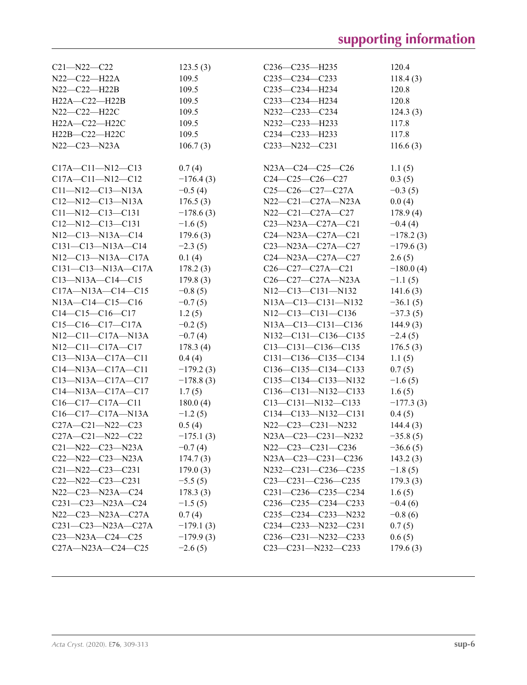| $C21 - N22 - C22$               | 123.5(3)    | $C236 - C235 - H235$        | 120.4       |
|---------------------------------|-------------|-----------------------------|-------------|
| $N22-C22-H22A$                  | 109.5       | $C235-C234-C233$            | 118.4(3)    |
| N22-C22-H22B                    | 109.5       | $C235 - C234 - H234$        | 120.8       |
| H22A-C22-H22B                   | 109.5       | $C233 - C234 - H234$        | 120.8       |
| N22-C22-H22C                    | 109.5       | N232-C233-C234              | 124.3(3)    |
| H22A-C22-H22C                   | 109.5       | N232-C233-H233              | 117.8       |
| $H22B-C22-H22C$                 | 109.5       | $C234 - C233 - H233$        | 117.8       |
| $N22 - C23 - N23A$              | 106.7(3)    | $C233 - N232 - C231$        | 116.6(3)    |
|                                 |             |                             |             |
| $C17A - C11 - N12 - C13$        | 0.7(4)      | N23A-C24-C25-C26            | 1.1(5)      |
| $C17A - C11 - N12 - C12$        | $-176.4(3)$ | $C24-C25-C26-C27$           | 0.3(5)      |
| $C11 - N12 - C13 - N13A$        | $-0.5(4)$   | $C25-C26-C27-C27A$          | $-0.3(5)$   |
| $C12 - N12 - C13 - N13A$        | 176.5(3)    | $N22-C21-C27A-N23A$         | 0.0(4)      |
| $C11 - N12 - C13 - C131$        | $-178.6(3)$ | N22—C21—C27A—C27            | 178.9(4)    |
| $C12 - N12 - C13 - C131$        | $-1.6(5)$   | $C23 - N23A - C27A - C21$   | $-0.4(4)$   |
| $N12$ —C13—N13A—C14             | 179.6(3)    | $C24 - N23A - C27A - C21$   | $-178.2(3)$ |
| $C131 - C13 - N13A - C14$       | $-2.3(5)$   | $C23 - N23A - C27A - C27$   | $-179.6(3)$ |
| $N12 - C13 - N13A - C17A$       | 0.1(4)      | $C24 - N23A - C27A - C27$   | 2.6(5)      |
| $C131 - C13 - N13A - C17A$      | 178.2(3)    | $C26-C27-C27A-C21$          | $-180.0(4)$ |
| $C13 - N13A - C14 - C15$        | 179.8(3)    | $C26-C27-C27A-N23A$         | $-1.1(5)$   |
| $C17A - N13A - C14 - C15$       | $-0.8(5)$   | N12-C13-C131-N132           | 141.6(3)    |
| $N13A - C14 - C15 - C16$        | $-0.7(5)$   | $N13A - C13 - C131 - N132$  | $-36.1(5)$  |
| $C14-C15-C16-C17$               | 1.2(5)      | $N12-C13-C131-C136$         | $-37.3(5)$  |
| $C15-C16-C17-C17A$              | $-0.2(5)$   | N13A-C13-C131-C136          | 144.9(3)    |
| $N12$ — $C11$ — $C17A$ — $N13A$ | $-0.7(4)$   | $N132 - C131 - C136 - C135$ | $-2.4(5)$   |
| $N12$ — $C11$ — $C17A$ — $C17$  | 178.3(4)    | $C13-C131-C136-C135$        | 176.5(3)    |
| $C13 - N13A - C17A - C11$       | 0.4(4)      | $C131 - C136 - C135 - C134$ | 1.1(5)      |
| $C14 - N13A - C17A - C11$       | $-179.2(3)$ | $C136-C135-C134-C133$       | 0.7(5)      |
| $C13 - N13A - C17A - C17$       | $-178.8(3)$ | $C135-C134-C133-N132$       | $-1.6(5)$   |
| $C14 - N13A - C17A - C17$       | 1.7(5)      | $C136 - C131 - N132 - C133$ | 1.6(5)      |
| $C16-C17-C17A-C11$              | 180.0(4)    | $C13-C131-N132-C133$        | $-177.3(3)$ |
| $C16-C17-C17A-N13A$             | $-1.2(5)$   | $C134-C133-N132-C131$       | 0.4(5)      |
| $C27A - C21 - N22 - C23$        | 0.5(4)      | $N22-C23-C231-N232$         | 144.4(3)    |
| C27A-C21-N22-C22                | $-175.1(3)$ | N23A-C23-C231-N232          | $-35.8(5)$  |
| $C21 - N22 - C23 - N23A$        | $-0.7(4)$   | N22-C23-C231-C236           | $-36.6(5)$  |
| $C22 - N22 - C23 - N23A$        | 174.7(3)    | N23A-C23-C231-C236          | 143.2(3)    |
| $C21 - N22 - C23 - C231$        | 179.0(3)    | N232-C231-C236-C235         | $-1.8(5)$   |
| $C22 - N22 - C23 - C231$        | $-5.5(5)$   | $C23-C231-C236-C235$        | 179.3(3)    |
| $N22-C23-N23A-C24$              | 178.3(3)    | C231-C236-C235-C234         | 1.6(5)      |
| $C231 - C23 - N23A - C24$       | $-1.5(5)$   | $C236-C235-C234-C233$       | $-0.4(6)$   |
| $N22-C23-N23A-C27A$             | 0.7(4)      | $C235-C234-C233-N232$       | $-0.8(6)$   |
| $C231 - C23 - N23A - C27A$      | $-179.1(3)$ | $C234 - C233 - N232 - C231$ | 0.7(5)      |
| $C23 - N23A - C24 - C25$        | $-179.9(3)$ | $C236-C231-N232-C233$       | 0.6(5)      |
| $C27A - N23A - C24 - C25$       | $-2.6(5)$   | $C23-C231-M232-C233$        | 179.6(3)    |